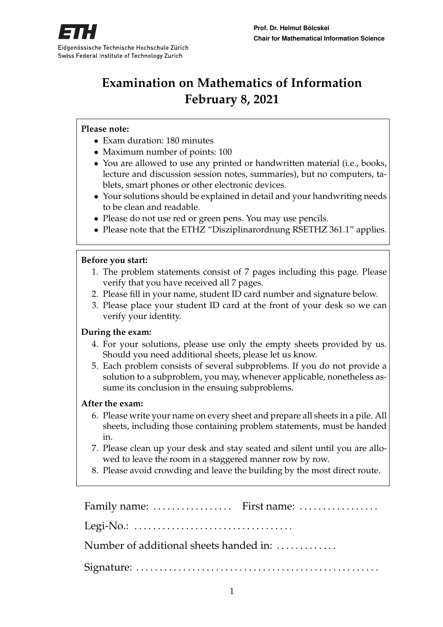

# **Examination on Mathematics of Information February 8, 2021**

#### **Please note:**

- Exam duration: 180 minutes
- Maximum number of points: 100
- You are allowed to use any printed or handwritten material (i.e., books, lecture and discussion session notes, summaries), but no computers, tablets, smart phones or other electronic devices.
- Your solutions should be explained in detail and your handwriting needs to be clean and readable.
- Please do not use red or green pens. You may use pencils.
- Please note that the ETHZ "Disziplinarordnung RSETHZ 361.1" applies.

#### **Before you start:**

- 1. The problem statements consist of 7 pages including this page. Please verify that you have received all 7 pages.
- 2. Please fill in your name, student ID card number and signature below.
- 3. Please place your student ID card at the front of your desk so we can verify your identity.

#### **During the exam:**

- 4. For your solutions, please use only the empty sheets provided by us. Should you need additional sheets, please let us know.
- 5. Each problem consists of several subproblems. If you do not provide a solution to a subproblem, you may, whenever applicable, nonetheless assume its conclusion in the ensuing subproblems.

#### **After the exam:**

- 6. Please write your name on every sheet and prepare all sheets in a pile. All sheets, including those containing problem statements, must be handed in.
- 7. Please clean up your desk and stay seated and silent until you are allowed to leave the room in a staggered manner row by row.
- 8. Please avoid crowding and leave the building by the most direct route.

Family name: ................... First name: ................... Legi-No.: . . . . . . . . . . . . . . . . . . . . . . . . . . . . . . . . . . Number of additional sheets handed in: ............ Signature: . . . . . . . . . . . . . . . . . . . . . . . . . . . . . . . . . . . . . . . . . . . . . . . . . . . .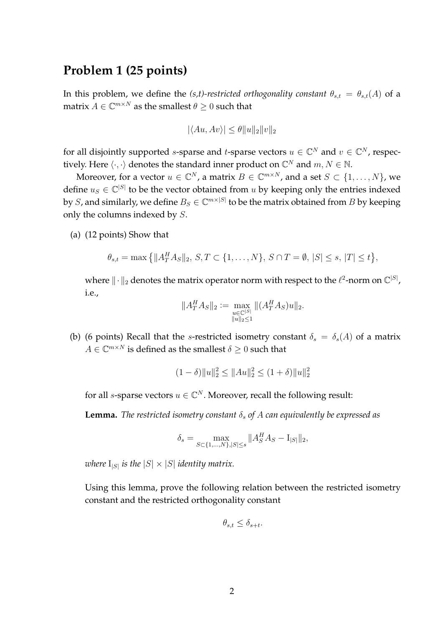### **Problem 1 (25 points)**

In this problem, we define the *(s,t)-restricted orthogonality constant*  $\theta_{s,t} = \theta_{s,t}(A)$  of a matrix  $A \in \mathbb{C}^{m \times N}$  as the smallest  $\theta \geq 0$  such that

$$
|\langle Au, Av \rangle| \le \theta ||u||_2 ||v||_2
$$

for all disjointly supported *s*-sparse and *t*-sparse vectors  $u \in \mathbb{C}^N$  and  $v \in \mathbb{C}^N$ , respectively. Here  $\langle \cdot, \cdot \rangle$  denotes the standard inner product on  $\mathbb{C}^N$  and  $m, N \in \mathbb{N}$ .

Moreover, for a vector  $u \in \mathbb{C}^N$ , a matrix  $B \in \mathbb{C}^{m \times N}$ , and a set  $S \subset \{1, \ldots, N\}$ , we define  $u_S \in \mathbb{C}^{|S|}$  to be the vector obtained from u by keeping only the entries indexed by  $S$ , and similarly, we define  $B_S \in \mathbb{C}^{m \times |S|}$  to be the matrix obtained from  $B$  by keeping only the columns indexed by S.

(a) (12 points) Show that

$$
\theta_{s,t} = \max\left\{||A_T^H A_S||_2, S, T \subset \{1, ..., N\}, S \cap T = \emptyset, |S| \le s, |T| \le t\right\},\
$$

where  $\|\cdot\|_2$  denotes the matrix operator norm with respect to the  $\ell^2$ -norm on  $\mathbb{C}^{|S|}$ , i.e.,

$$
||A_T^H A_S||_2 := \max_{\substack{u \in \mathbb{C}^{|S|} \\ ||u||_2 \le 1}} ||(A_T^H A_S)u||_2.
$$

(b) (6 points) Recall that the s-restricted isometry constant  $\delta_s = \delta_s(A)$  of a matrix  $A \in \mathbb{C}^{m \times N}$  is defined as the smallest  $\delta \geq 0$  such that

$$
(1 - \delta) \|u\|_2^2 \le \|Au\|_2^2 \le (1 + \delta) \|u\|_2^2
$$

for all *s*-sparse vectors  $u \in \mathbb{C}^N$ . Moreover, recall the following result:

**Lemma.** *The restricted isometry constant*  $\delta_s$  *of*  $A$  *can equivalently be expressed as* 

$$
\delta_s = \max_{S \subset \{1, \dots, N\}, |S| \le s} \|A_S^H A_S - I_{|S|}\|_2,
$$

where  $I_{|S|}$  is the  $|S| \times |S|$  identity matrix.

Using this lemma, prove the following relation between the restricted isometry constant and the restricted orthogonality constant

$$
\theta_{s,t} \le \delta_{s+t}.
$$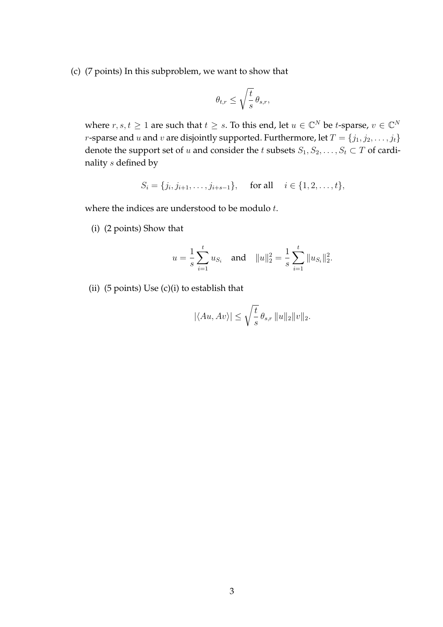(c) (7 points) In this subproblem, we want to show that

$$
\theta_{t,r} \le \sqrt{\frac{t}{s}} \,\theta_{s,r},
$$

where  $r, s, t \geq 1$  are such that  $t \geq s$ . To this end, let  $u \in \mathbb{C}^N$  be *t*-sparse,  $v \in \mathbb{C}^N$ *r*-sparse and *u* and *v* are disjointly supported. Furthermore, let  $T = \{j_1, j_2, \ldots, j_t\}$ denote the support set of u and consider the t subsets  $S_1, S_2, \ldots, S_t \subset T$  of cardinality s defined by

$$
S_i = \{j_i, j_{i+1}, \dots, j_{i+s-1}\}, \text{ for all } i \in \{1, 2, \dots, t\},
$$

where the indices are understood to be modulo  $t$ .

(i) (2 points) Show that

$$
u = \frac{1}{s} \sum_{i=1}^{t} u_{S_i}
$$
 and  $||u||_2^2 = \frac{1}{s} \sum_{i=1}^{t} ||u_{S_i}||_2^2$ .

(ii)  $(5 \text{ points})$  Use  $(c)(i)$  to establish that

$$
|\langle Au, Av \rangle| \le \sqrt{\frac{t}{s}} \theta_{s,r} ||u||_2 ||v||_2.
$$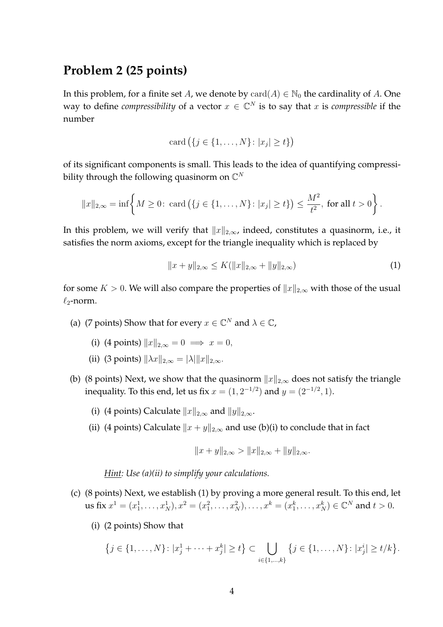### **Problem 2 (25 points)**

In this problem, for a finite set A, we denote by  $card(A) \in \mathbb{N}_0$  the cardinality of A. One way to define *compressibility* of a vector  $x \in \mathbb{C}^N$  is to say that x is *compressible* if the number

$$
card (\{j \in \{1, \ldots, N\} \colon |x_j| \ge t\})
$$

of its significant components is small. This leads to the idea of quantifying compressibility through the following quasinorm on  $\mathbb{C}^N$ 

$$
||x||_{2,\infty} = \inf \left\{ M \ge 0: \text{ card } (\{j \in \{1, ..., N\} : |x_j| \ge t\}) \le \frac{M^2}{t^2}, \text{ for all } t > 0 \right\}.
$$

In this problem, we will verify that  $||x||_{2,\infty}$ , indeed, constitutes a quasinorm, i.e., it satisfies the norm axioms, except for the triangle inequality which is replaced by

$$
||x + y||_{2,\infty} \le K(||x||_{2,\infty} + ||y||_{2,\infty})
$$
\n(1)

for some  $K > 0$ . We will also compare the properties of  $||x||_{2,\infty}$  with those of the usual  $\ell_2$ -norm.

- (a) (7 points) Show that for every  $x \in \mathbb{C}^N$  and  $\lambda \in \mathbb{C}$ ,
	- (i) (4 points)  $||x||_{2,\infty} = 0 \implies x = 0$ ,
	- (ii) (3 points)  $\|\lambda x\|_{2,\infty} = |\lambda| \|x\|_{2,\infty}$ .
- (b) (8 points) Next, we show that the quasinorm  $||x||_{2,\infty}$  does not satisfy the triangle inequality. To this end, let us fix  $x = (1, 2^{-1/2})$  and  $y = (2^{-1/2}, 1)$ .
	- (i) (4 points) Calculate  $||x||_{2,\infty}$  and  $||y||_{2,\infty}$ .
	- (ii) (4 points) Calculate  $||x + y||_{2,\infty}$  and use (b)(i) to conclude that in fact

$$
||x + y||_{2,\infty} > ||x||_{2,\infty} + ||y||_{2,\infty}.
$$

*Hint: Use (a)(ii) to simplify your calculations.*

- (c) (8 points) Next, we establish (1) by proving a more general result. To this end, let us fix  $x^1 = (x_1^1, \ldots, x_N^1), x^2 = (x_1^2, \ldots, x_N^2), \ldots, x^k = (x_1^k, \ldots, x_N^k) \in \mathbb{C}^N$  and  $t > 0$ .
	- (i) (2 points) Show that

$$
\{j \in \{1, ..., N\} \colon |x_j^1 + \dots + x_j^k| \ge t\} \subset \bigcup_{i \in \{1, ..., k\}} \{j \in \{1, ..., N\} \colon |x_j^i| \ge t/k\}.
$$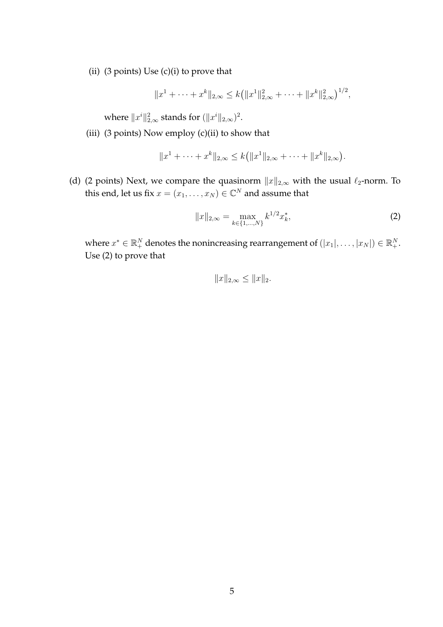(ii)  $(3 \text{ points})$  Use  $(c)(i)$  to prove that

$$
||x^1 + \cdots + x^k||_{2,\infty} \le k (||x^1||_{2,\infty}^2 + \cdots + ||x^k||_{2,\infty}^2)^{1/2},
$$

where  $\|x^i\|_{2,\infty}^2$  stands for  $(\|x^i\|_{2,\infty})^2.$ 

(iii) (3 points) Now employ (c)(ii) to show that

$$
||x^1 + \cdots + x^k||_{2,\infty} \le k(||x^1||_{2,\infty} + \cdots + ||x^k||_{2,\infty}).
$$

(d) (2 points) Next, we compare the quasinorm  $||x||_{2,\infty}$  with the usual  $\ell_2$ -norm. To this end, let us fix  $x = (x_1, \ldots, x_N) \in \mathbb{C}^N$  and assume that

$$
||x||_{2,\infty} = \max_{k \in \{1,\dots,N\}} k^{1/2} x_k^*,
$$
 (2)

where  $x^* \in \mathbb{R}_+^N$  denotes the nonincreasing rearrangement of  $(|x_1|, \ldots, |x_N|) \in \mathbb{R}_+^N$ . Use (2) to prove that

$$
||x||_{2,\infty} \le ||x||_2.
$$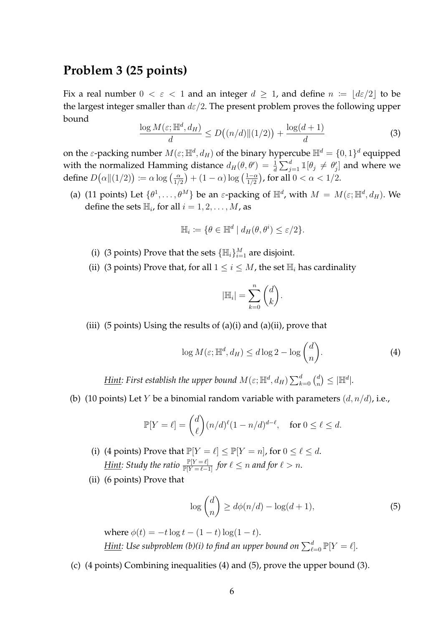### **Problem 3 (25 points)**

Fix a real number  $0 < \varepsilon < 1$  and an integer  $d > 1$ , and define  $n := |d\varepsilon/2|$  to be the largest integer smaller than  $d\varepsilon/2$ . The present problem proves the following upper bound

$$
\frac{\log M(\varepsilon; \mathbb{H}^d, d_H)}{d} \le D\big((n/d) \|(1/2)\big) + \frac{\log(d+1)}{d} \tag{3}
$$

on the  $\varepsilon$ -packing number  $M(\varepsilon;{\mathbb H}^d,d_H)$  of the binary hypercube  ${\mathbb H}^d=\{0,1\}^d$  equipped with the normalized Hamming distance  $d_H(\theta, \theta') = \frac{1}{d} \sum_{j=1}^d \mathbb{I}[\theta_j \neq \theta'_j]$  and where we define  $D(\alpha \| (1/2)) \coloneqq \alpha \log \left( \frac{\alpha}{1/\alpha} \right)$  $\frac{\alpha}{1/2}$  +  $(1-\alpha)\log\left(\frac{1-\alpha}{1/2}\right)$  $\frac{1-\alpha}{1/2}\big)$ , for all  $0<\alpha< 1/2.$ 

(a) (11 points) Let  $\{\theta^1,\ldots,\theta^M\}$  be an  $\varepsilon$ -packing of  $\mathbb{H}^d$ , with  $M = M(\varepsilon; \mathbb{H}^d, d_H)$ . We define the sets  $\mathbb{H}_i$ , for all  $i = 1, 2, ..., M$ , as

$$
\mathbb{H}_i \coloneqq \{ \theta \in \mathbb{H}^d \mid d_H(\theta, \theta^i) \le \varepsilon/2 \}.
$$

- (i) (3 points) Prove that the sets  $\{\mathbb{H}_i\}_{i=1}^M$  are disjoint.
- (ii) (3 points) Prove that, for all  $1 \le i \le M$ , the set  $\mathbb{H}_i$  has cardinality

$$
|\mathbb{H}_i| = \sum_{k=0}^n \binom{d}{k}.
$$

(iii) (5 points) Using the results of (a)(i) and (a)(ii), prove that

$$
\log M(\varepsilon; \mathbb{H}^d, d_H) \le d \log 2 - \log {d \choose n}.
$$
 (4)

<u>Hint</u>: First establish the upper bound  $M(\varepsilon;{\mathbb H}^d,d_H)\sum_{k=0}^d {d\choose n}$  $\binom{d}{n} \leq |\mathbb{H}^d|.$ 

(b) (10 points) Let Y be a binomial random variable with parameters  $(d, n/d)$ , i.e.,

$$
\mathbb{P}[Y=\ell] = \binom{d}{\ell} (n/d)^{\ell} (1-n/d)^{d-\ell}, \quad \text{for } 0 \le \ell \le d.
$$

- (i) (4 points) Prove that  $\mathbb{P}[Y = \ell] \leq \mathbb{P}[Y = n]$ , for  $0 \leq \ell \leq d$ .  $\underline{Hint}$ : Study the ratio  $\frac{\mathbb{P}[Y = \ell]}{\mathbb{P}[Y = \ell - 1]}$  for  $\ell \leq n$  and for  $\ell > n$ .
- (ii) (6 points) Prove that

$$
\log \binom{d}{n} \ge d\phi(n/d) - \log(d+1),\tag{5}
$$

where  $\phi(t) = -t \log t - (1 - t) \log(1 - t)$ . <u>Hint</u>: Use subproblem (b)(i) to find an upper bound on  $\sum_{\ell=0}^d \mathbb{P}[Y=\ell].$ 

(c) (4 points) Combining inequalities (4) and (5), prove the upper bound (3).